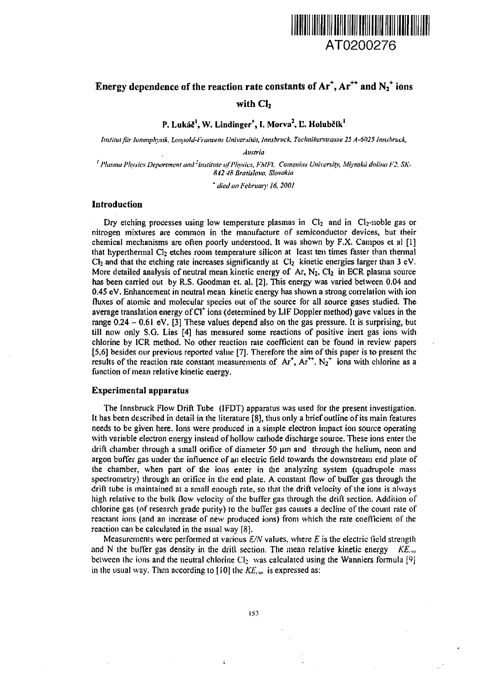

# Energy dependence of the reaction rate constants of Ar<sup>+</sup>, Ar $^{\rm +}$  and  $\rm N_2^{\rm +}$  ions with Cl<sub>2</sub>

P. Lukáč<sup>l</sup>, W. Lindinger<sup>+</sup>, I. Morva<sup>2</sup>, Ľ. Holubčík<sup>i</sup>

*Institut fi'ir Jonenphysik. Leopold-Franzens Universität, Innsbruck. Teclmikcrstrasse 25 A-6025 Innsbruck,*

*Austria*

<sup>*i*</sup> Plasma Physics Department and <sup>2</sup>Institute of Physics, FMF1. Comenius University, Mlynskä dolina F2, SK-*842 48 Bratislava. Slovakia*

*\* died on February 16,2001*

## **Introduction**

Dry etching processes using low temperature plasmas in  $Cl<sub>2</sub>$  and in  $Cl<sub>2</sub>$ -noble gas or nitrogen mixtures are common in the manufacture of semiconductor devices, but their chemical mechanisms are often poorly understood. It was shown by F.X. Campos et al [1] that hyperthermal Cl<sub>2</sub> etches room temperature silicon at least ten times faster than thermal  $Cl<sub>2</sub>$  and that the etching rate increases significantly at  $Cl<sub>2</sub>$  kinetic energies larger than 3 eV. More detailed analysis of neutral mean kinetic energy of Ar,  $N_2$ , Cl<sub>2</sub> in ECR plasma source has been carried out by R.S. Goodman et. al. [2]. This energy was varied between 0.04 and 0.45 eV. Enhancement in neutral mean kinetic energy has shown a strong correlation with ion fluxes of atomic and molecular species out of the source for all source gases studied. The average translation energy of Cl\* ions (determined by LIF Doppler method) gave values in the range 0.24 - 0.61 eV. [3] These values depend also on the gas pressure. It is surprising, but till now only S.G. Lias [4] has measured some reactions of positive inert gas ions with chlorine by ICR method. No other reaction rate coefficient can be found in review papers [5,6] besides our previous reported value [7]. Therefore the aim of this paper is to present the results of the reaction rate constant measurements of  $Ar^+$ ,  $Ar^{++}$ ,  $N_2^+$  ions with chlorine as a function of mean relative kinetic energy.

### **Experimental apparatus**

The Innsbruck Flow Drift Tube (1FDT) apparatus was used for the present investigation. It has been described in detail in the literature [8], thus only a brief outline of its main features needs to be given here. Ions were produced in a simple electron impact ion source operating with variable electron energy instead of hollow cathode discharge source. These ions enter the drift chamber through a small orifice of diameter 50  $\mu$ m and through the helium, neon and argon buffer gas under the influence of an electric field towards the downstream end plate of the chamber, when part of the ions enter in the analyzing system (quadrupole mass spectrometry) through an orifice in the end plate. A constant flow of buffer gas through the drift tube is maintained at a small enough rate, so that the drift velocity of the ions is always high relative to ihe bulk flow velocity of the buffer gas through the drift section. Addition of chlorine gas (of research grade purity) to the buffer gas causes a decline of the count rate of reaclant ions (and an increase of new produced ions) from which the rate coefficient of the reaction can be calculated in the usual way [8].

Measurements were performed at various  $E/N$  values, where  $E$  is the electric field strength and N the buffer gas density in the drift section. The mean relative kinetic energy *KE*<sub>cm</sub> between the ions and the neutral chlorine  $Cl_2$  was calculated using the Wanniers formula [9] in the usual way. Then according to [10] the  $KE_{cm}$  is expressed as:

 $\overline{1}$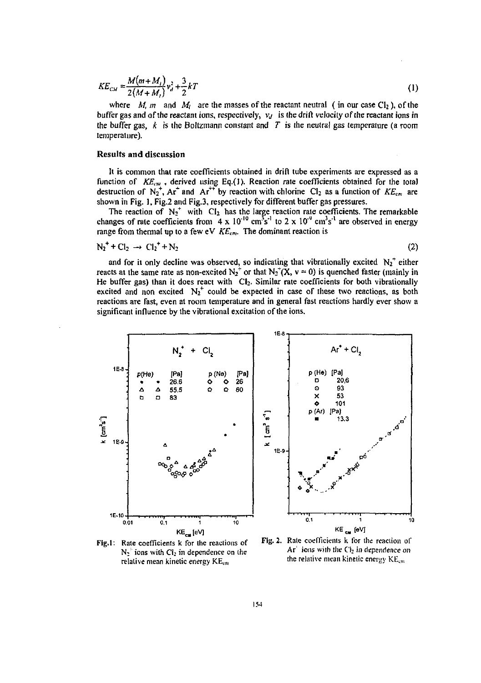$$
KE_{CM} = \frac{M(m+M_t)}{2(M+M_t)}v_d^2 + \frac{3}{2}kT
$$
 (1)

where *M, m* and  $M_i$  are the masses of the reactant neutral (in our case Cl<sub>2</sub>), of the buffer gas and of the reactant ions, respectively,  $v_d$  is the drift velocity of the reactant ions in the buffer gas, *k* is the Boltzmann constant and *T* is the neutral gas temperature (a room temperature).

#### **Results and discussion**

**It** is common that rate coefficients obtained in drift tube experiments are expressed as a function of *KE<sub>cm</sub>*, derived using Eq.(1). Reaction rate coefficients obtained for the total<br>destruction of N<sub>2</sub><sup>+</sup>, Ar<sup>\*</sup> and Ar<sup>\*\*</sup> by reaction with chlorine Cl<sub>2</sub> as a function of *KE<sub>cm</sub>* are shown in Fig. 1, Fig.2 and Fig.3, respectively for different buffer gas pressures.

The reaction of  $N_2^+$  with  $Cl_2$  has the large reaction rate coefficients. The remarkable changes of rate coefficients from  $4 \times 10^{-10}$  cm<sup>3</sup>s<sup>-1</sup> to  $2 \times 10^{-8}$  cm<sup>3</sup>s<sup>-1</sup> are observed in energy range from thermal up to a few eV  $KE<sub>cm</sub>$ . The dominant reaction is

$$
N_2^+ + Cl_2 \rightarrow Cl_2^+ + N_2 \tag{2}
$$

and for it only decline was observed, so indicating that vibrationally excited  $N_2^+$  either reacts at the same rate as non-excited  $N_2^+$  or that  $N_2^+(X, v = 0)$  is quenched faster (mainly in He buffer gas) than it does react with CI<sub>2</sub>. Similar rate coefficients for both vibrationally excited and non excited  $N_2^+$  could be expected in case of these two reactions, as both reactions are fast, even at room temperature and in general fast reactions hardly ever show a significant influence by the vibrational excitation of the ions.



**Fig.l:** Rate coefficients k for the reactions of  $N_2$ <sup>*f*</sup> ions with Cl<sub>2</sub> in dependence on the relative mean kinetic energy KEcn

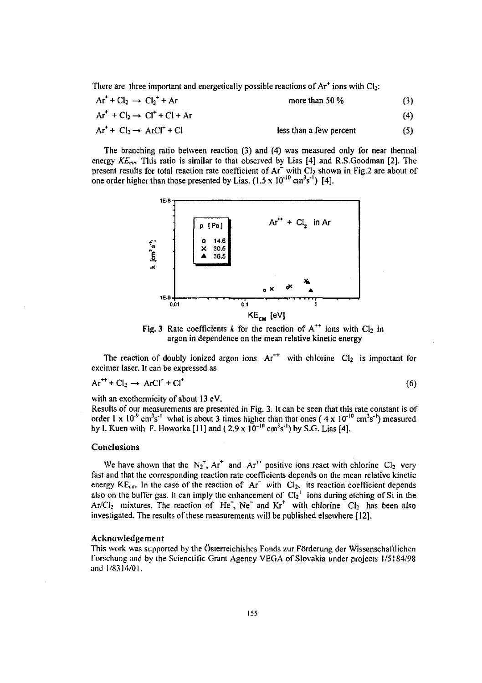There are three important and energetically possible reactions of  $Ar<sup>+</sup>$  ions with Cl<sub>2</sub>:

| $Ar^+ + Cl_2 \rightarrow Cl_2^+ + Ar$<br>$Ar^+ + Cl_2 \rightarrow Cl^+ + Cl + Ar$ | more than 50 %          | (3) |
|-----------------------------------------------------------------------------------|-------------------------|-----|
|                                                                                   |                         | (4) |
| $Ar^+ + Cl_2 \rightarrow ArCl^+ + Cl$                                             | less than a few percent | (5) |

The branching ratio between reaction (3) and (4) was measured only lor near thermal energy *KEcm.* This ratio is similar to that observed by Lias [4] and R.S.Goodman [2]. The present results for total reaction rate coefficient of  $Ar^+$  with  $Cl_2$  shown in Fig.2 are about of one order higher than those presented by Lias.  $(1.5 \times 10^{-10} \text{ cm}^3 \text{s}^{-1})$  [4].



Fig. 3 Rate coefficients  $k$  for the reaction of  $A^{++}$  ions with  $Cl_2$  in argon in dependence on the mean relative kinetic energy

The reaction of doubly ionized argon ions  $Ar^{++}$  with chlorine  $Cl_2$  is important for excimer laser. It can be expressed as

$$
Ar^{++} + Cl_2 \rightarrow ArCl^+ + Cl^+
$$

(6)

with an exothermicity of about 13 eV.

Results of our measurements are presented in Fig. 3. It can be seen that this rate constant is of order 1 x  $10^{-9}$  cm<sup>3</sup>s<sup>-1</sup> what is about 3 times higher than that ones (4 x  $10^{-10}$  cm<sup>3</sup>s<sup>-1</sup>) measured by 1. Kuen with F. Howorka [11] and (  $2.9 \times 10^{-10} \text{ cm}^3 \text{s}^{-1}$ ) by S.G. Lias [4].

## **Conclusions**

We have shown that the  $N_2^*$ , Ar<sup>+</sup> and Ar<sup>++</sup> positive ions react with chlorine Cl<sub>2</sub> very fast and that the corresponding reaction rate coefficients depends on the mean relative kinetic energy  $KE_{cm}$ . In the case of the reaction of  $Ar^+$  with  $Cl_2$ , its reaction coefficient depends also on the buffer gas. It can imply the enhancement of  $Cl_2^+$  ions during etching of Si in the Ar/Cl<sub>2</sub> mixtures. The reaction of He<sup>-</sup>, Ne<sup>-</sup> and Kr<sup>+</sup> with chlorine Cl<sub>2</sub> has been also investigated. The results of these measurements will be published elsewhere [12].

#### Acknowledgement

This work was supported by the österreichishes Fonds zur Förderung der Wissenschaftlichen Forschung and by the Scientific Grant Agency VEGA of Slovakia under projects 1/5184/98 and I'8314/01.